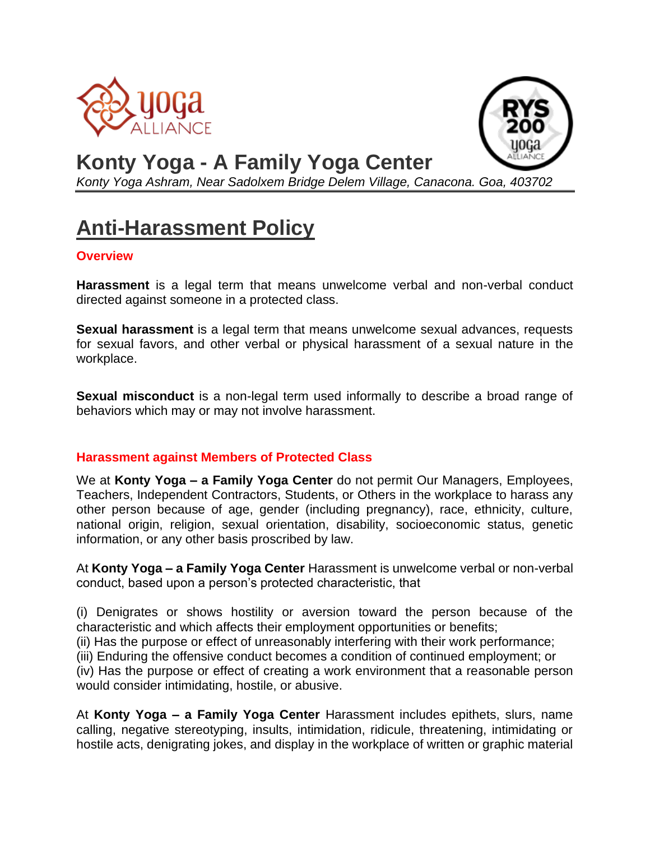



# **Konty Yoga - A Family Yoga Center**

*Konty Yoga Ashram, Near Sadolxem Bridge Delem Village, Canacona. Goa, 403702*

# **Anti-Harassment Policy**

### **Overview**

**Harassment** is a legal term that means unwelcome verbal and non-verbal conduct directed against someone in a protected class.

**Sexual harassment** is a legal term that means unwelcome sexual advances, requests for sexual favors, and other verbal or physical harassment of a sexual nature in the workplace.

**Sexual misconduct** is a non-legal term used informally to describe a broad range of behaviors which may or may not involve harassment.

#### **Harassment against Members of Protected Class**

We at **Konty Yoga – a Family Yoga Center** do not permit Our Managers, Employees, Teachers, Independent Contractors, Students, or Others in the workplace to harass any other person because of age, gender (including pregnancy), race, ethnicity, culture, national origin, religion, sexual orientation, disability, socioeconomic status, genetic information, or any other basis proscribed by law.

At **Konty Yoga – a Family Yoga Center** Harassment is unwelcome verbal or non-verbal conduct, based upon a person's protected characteristic, that

(i) Denigrates or shows hostility or aversion toward the person because of the characteristic and which affects their employment opportunities or benefits;

(ii) Has the purpose or effect of unreasonably interfering with their work performance;

(iii) Enduring the offensive conduct becomes a condition of continued employment; or

(iv) Has the purpose or effect of creating a work environment that a reasonable person would consider intimidating, hostile, or abusive.

At **Konty Yoga – a Family Yoga Center** Harassment includes epithets, slurs, name calling, negative stereotyping, insults, intimidation, ridicule, threatening, intimidating or hostile acts, denigrating jokes, and display in the workplace of written or graphic material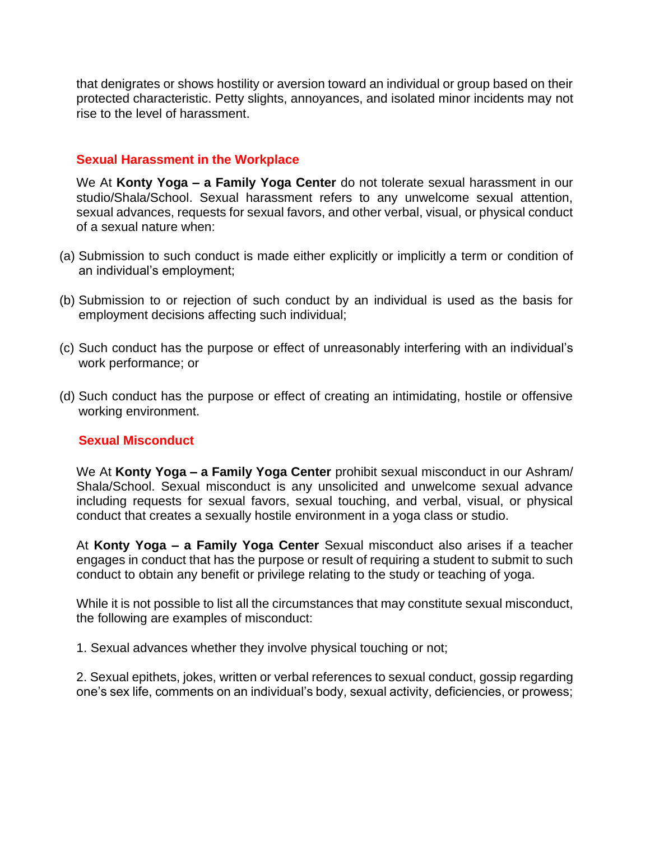that denigrates or shows hostility or aversion toward an individual or group based on their protected characteristic. Petty slights, annoyances, and isolated minor incidents may not rise to the level of harassment.

#### **Sexual Harassment in the Workplace**

We At **Konty Yoga – a Family Yoga Center** do not tolerate sexual harassment in our studio/Shala/School. Sexual harassment refers to any unwelcome sexual attention, sexual advances, requests for sexual favors, and other verbal, visual, or physical conduct of a sexual nature when:

- (a) Submission to such conduct is made either explicitly or implicitly a term or condition of an individual's employment;
- (b) Submission to or rejection of such conduct by an individual is used as the basis for employment decisions affecting such individual;
- (c) Such conduct has the purpose or effect of unreasonably interfering with an individual's work performance; or
- (d) Such conduct has the purpose or effect of creating an intimidating, hostile or offensive working environment.

#### **Sexual Misconduct**

We At **Konty Yoga – a Family Yoga Center** prohibit sexual misconduct in our Ashram/ Shala/School. Sexual misconduct is any unsolicited and unwelcome sexual advance including requests for sexual favors, sexual touching, and verbal, visual, or physical conduct that creates a sexually hostile environment in a yoga class or studio.

At **Konty Yoga – a Family Yoga Center** Sexual misconduct also arises if a teacher engages in conduct that has the purpose or result of requiring a student to submit to such conduct to obtain any benefit or privilege relating to the study or teaching of yoga.

While it is not possible to list all the circumstances that may constitute sexual misconduct, the following are examples of misconduct:

1. Sexual advances whether they involve physical touching or not;

2. Sexual epithets, jokes, written or verbal references to sexual conduct, gossip regarding one's sex life, comments on an individual's body, sexual activity, deficiencies, or prowess;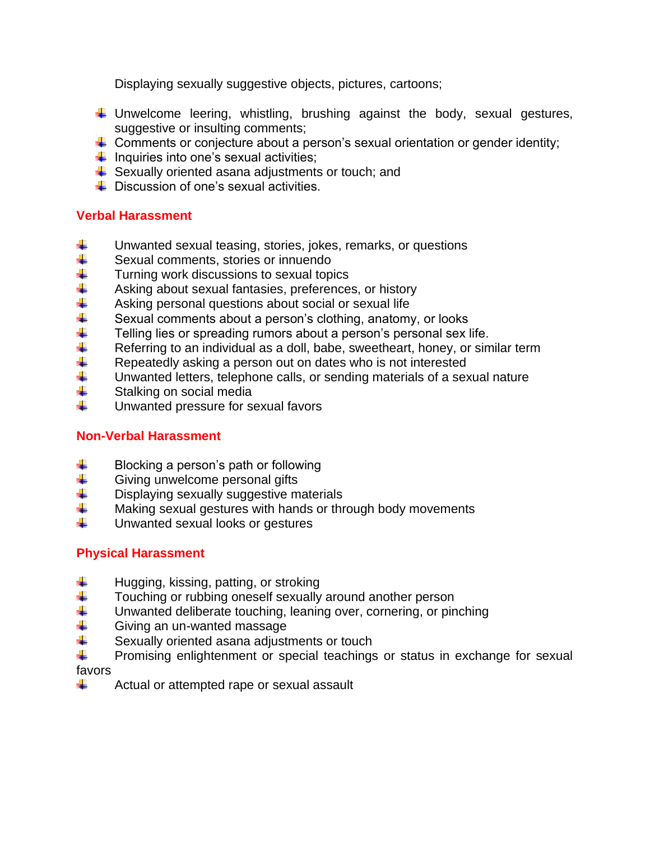Displaying sexually suggestive objects, pictures, cartoons;

- $\downarrow$  Unwelcome leering, whistling, brushing against the body, sexual gestures, suggestive or insulting comments;
- $\downarrow$  Comments or conjecture about a person's sexual orientation or gender identity;
- $\downarrow$  Inquiries into one's sexual activities;
- $\ddot{+}$  Sexually oriented asana adjustments or touch; and
- $\overline{\phantom{a} \bullet}$  Discussion of one's sexual activities.

## **Verbal Harassment**

- Unwanted sexual teasing, stories, jokes, remarks, or questions ÷
- 4. Sexual comments, stories or innuendo
- Turning work discussions to sexual topics
- Asking about sexual fantasies, preferences, or history
- Asking personal questions about social or sexual life
- Sexual comments about a person's clothing, anatomy, or looks
- Telling lies or spreading rumors about a person's personal sex life.
- \*\*\*\*\*\*\*\*\*\*\* Referring to an individual as a doll, babe, sweetheart, honey, or similar term
- Repeatedly asking a person out on dates who is not interested
- Unwanted letters, telephone calls, or sending materials of a sexual nature
- Stalking on social media
- ₩. Unwanted pressure for sexual favors

## **Non-Verbal Harassment**

- Blocking a person's path or following
- 4. Giving unwelcome personal gifts
- 4. Displaying sexually suggestive materials
- 4. Making sexual gestures with hands or through body movements
- 41 Unwanted sexual looks or gestures

## **Physical Harassment**

- ÷ Hugging, kissing, patting, or stroking
- 4. Touching or rubbing oneself sexually around another person
- $\ddot{\ddagger}$ Unwanted deliberate touching, leaning over, cornering, or pinching
- Giving an un-wanted massage
- 4. Sexually oriented asana adjustments or touch
- 4. Promising enlightenment or special teachings or status in exchange for sexual favors
- ÷ Actual or attempted rape or sexual assault